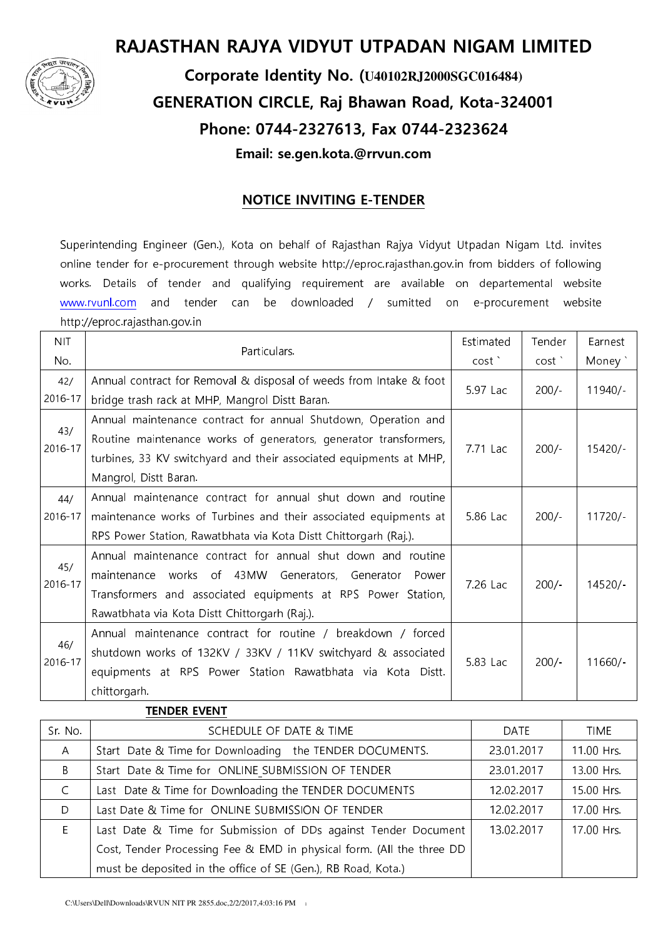

# RAJASTHAN RAJYA VIDYUT UTPADAN NIGAM LIMITED

# Corporate Identity No. (**U40102RJ2000SGC016484)** GENERATION CIRCLE, Raj Bhawan Road, Kota-324001 Phone: 0744-2327613, Fax 0744-2323624 Email: se.gen.kota.@rrvun.com

## NOTICE INVITING E-TENDER

Superintending Engineer (Gen.), Kota on behalf of Rajasthan Rajya Vidyut Utpadan Nigam Ltd. invites online tender for e-procurement through website http://eproc.rajasthan.gov.in from bidders of following works. Details of tender and qualifying requirement are available on departemental website www.rvunl.com and tender can be downloaded / sumitted on e-procurement website http://eproc.rajasthan.gov.in

| <b>NIT</b>     | Particulars.                                                       | Estimated | Tender  | Earnest   |
|----------------|--------------------------------------------------------------------|-----------|---------|-----------|
| No.            |                                                                    | cost      | cost    | Money `   |
| 42/            | Annual contract for Removal & disposal of weeds from Intake & foot |           |         |           |
| 2016-17        | bridge trash rack at MHP, Mangrol Distt Baran.                     | 5.97 Lac  | $200/-$ | $11940/-$ |
| 43/<br>2016-17 | Annual maintenance contract for annual Shutdown, Operation and     |           |         |           |
|                | Routine maintenance works of generators, generator transformers,   | 7.71 Lac  | $200/-$ | $15420/-$ |
|                | turbines, 33 KV switchyard and their associated equipments at MHP, |           |         |           |
|                | Mangrol, Distt Baran.                                              |           |         |           |
| 44/            | Annual maintenance contract for annual shut down and routine       |           |         |           |
| 2016-17        | maintenance works of Turbines and their associated equipments at   | 5.86 Lac  | $200/-$ | $11720/-$ |
|                | RPS Power Station, Rawatbhata via Kota Distt Chittorgarh (Raj.).   |           |         |           |
| 45/<br>2016-17 | Annual maintenance contract for annual shut down and routine       |           |         |           |
|                | works of 43MW Generators, Generator<br>maintenance<br>Power        | 7.26 Lac  | $200/-$ | $14520/-$ |
|                | Transformers and associated equipments at RPS Power Station,       |           |         |           |
|                | Rawatbhata via Kota Distt Chittorgarh (Raj.).                      |           |         |           |
| 46/<br>2016-17 | Annual maintenance contract for routine / breakdown / forced       |           |         |           |
|                | shutdown works of 132KV / 33KV / 11KV switchyard & associated      | 5.83 Lac  | $200/-$ | $11660/-$ |
|                | equipments at RPS Power Station Rawatbhata via Kota Distt.         |           |         |           |
|                | chittorgarh.                                                       |           |         |           |
|                |                                                                    |           |         |           |

|              | I ENDER EVENT                                                         |            |             |
|--------------|-----------------------------------------------------------------------|------------|-------------|
| Sr. No.      | SCHEDULE OF DATE & TIME                                               | DATE       | <b>TIME</b> |
| $\mathsf{A}$ | Start Date & Time for Downloading the TENDER DOCUMENTS.               | 23.01.2017 | 11.00 Hrs.  |
| B            | Start Date & Time for ONLINE SUBMISSION OF TENDER                     | 23.01.2017 | 13.00 Hrs.  |
| $\mathsf{C}$ | Last Date & Time for Downloading the TENDER DOCUMENTS                 | 12.02.2017 | 15.00 Hrs.  |
| D            | Last Date & Time for ONLINE SUBMISSION OF TENDER                      | 12.02.2017 | 17.00 Hrs.  |
| F.           | Last Date & Time for Submission of DDs against Tender Document        | 13.02.2017 | 17.00 Hrs.  |
|              | Cost, Tender Processing Fee & EMD in physical form. (All the three DD |            |             |
|              | must be deposited in the office of SE (Gen.), RB Road, Kota.)         |            |             |